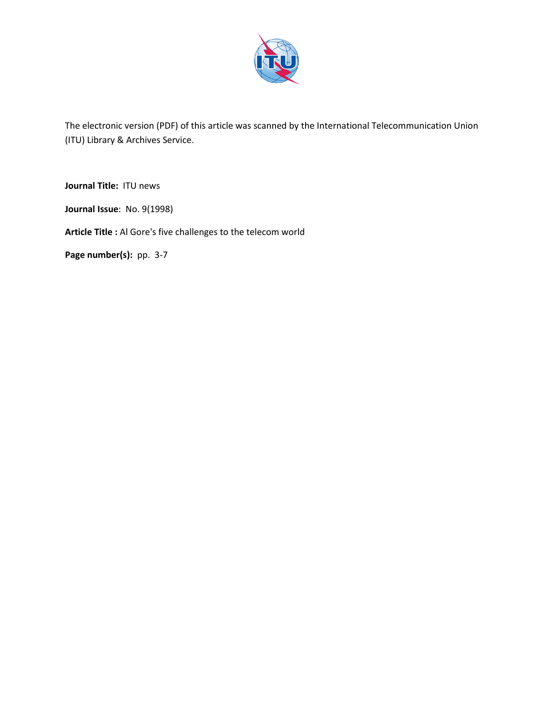

The electronic version (PDF) of this article was scanned by the International Telecommunication Union (ITU) Library & Archives Service.

**Journal Title:** ITU news

**Journal Issue**: No. 9(1998)

**Article Title :** Al Gore's five challenges to the telecom world

Page number(s): pp. 3-7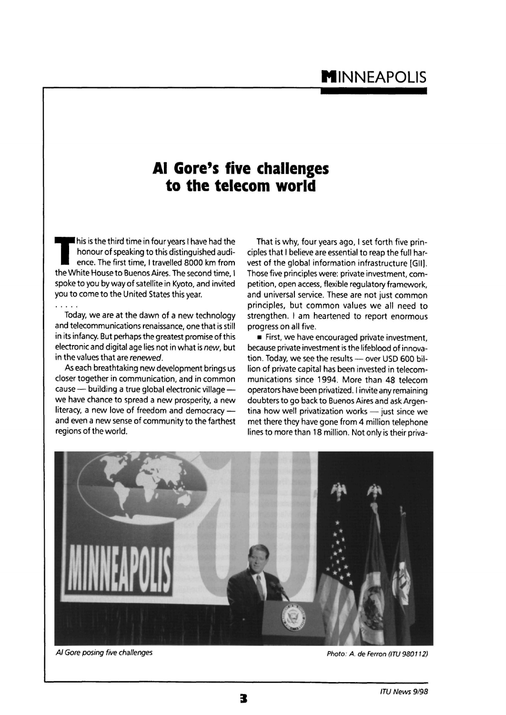## **Al Gore's five challenges to the telecom world**

This is the third time in four years I have had the honour of speaking to this distinguished audience. The first time, I travelled 8000 km from the White House to Buenos Aires. The second time, I his is the third time in four years I have had the honour of speaking to this distinguished audience. The first time, I travelled 8000 km from spoke to you by way of satellite in Kyoto, and invited you to come to the United States this year.

Today, we are at the dawn of a new technology and telecommunications renaissance, one that is still in its infancy. But perhaps the greatest promise of this electronic and digital age lies not in what is new, but in the values that are renewed.

As each breathtaking new development brings us closer together in communication, and in common cause — building a true global electronic village we have chance to spread a new prosperity, a new literacy, a new love of freedom and democracy and even a new sense of community to the farthest regions of the world.

That is why, four years ago, I set forth five principles that I believe are essential to reap the full harvest of the global information infrastructure [Gil]. Those five principles were: private investment, competition, open access, flexible regulatory framework, and universal service. These are not just common principles, but common values we all need to strengthen. I am heartened to report enormous progress on all five.

**First, we have encouraged private investment,** because private investment is the lifeblood of innovation. Today, we see the results — over USD 600 billion of private capital has been invested in telecommunications since 1994. More than 48 telecom operators have been privatized. I invite any remaining doubters to go back to Buenos Aires and ask Argentina how well privatization works — just since we met there they have gone from 4 million telephone lines to more than 18 million. Not only is their priva-



Al Gore posing five challenges **Photo: A. de Ferron (ITU 980112)** Photo: A. de Ferron (ITU 980112)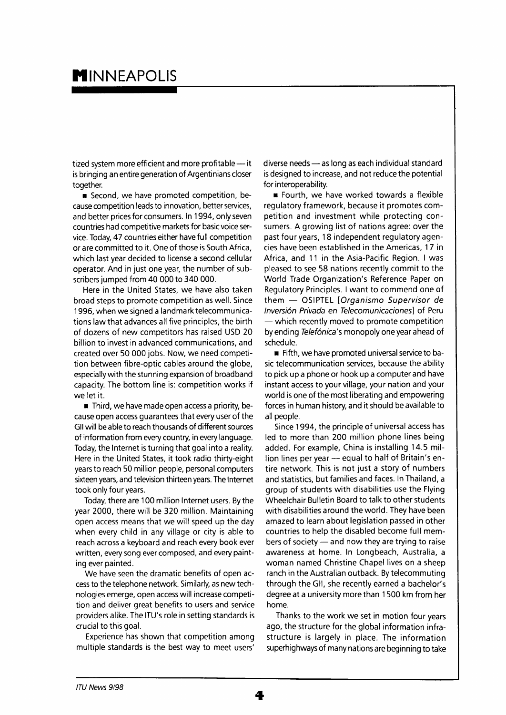## **MINNEAPOLIS**

tized system more efficient and more profitable — it is bringing an entire generation of Argentinians closer together.

• Second, we have promoted competition, because competition leads to innovation, better services, and better prices for consumers. In 1994, only seven countries had competitive markets for basic voice service. Today, 47 countries either have full competition or are committed to it. One of those is South Africa, which last year decided to license a second cellular operator. And in just one year, the number of subscribers jumped from 40 000 to 340 000.

Here in the United States, we have also taken broad steps to promote competition as well. Since 1996, when we signed a landmark telecommunications law that advances all five principles, the birth of dozens of new competitors has raised USD 20 billion to invest in advanced communications, and created over 50 000 jobs. Now, we need competition between fibre-optic cables around the globe, especially with the stunning expansion of broadband capacity. The bottom line is: competition works if we let it.

• Third, we have made open access a priority, because open access guarantees that every user of the Gil will be able to reach thousands of different sources of information from every country, in every language. Today, the Internet is turning that goal into a reality. Here in the United States, it took radio thirty-eight years to reach 50 million people, personal computers sixteen years, and television thirteen years. The Internet took only four years.

Today, there are 100 million Internet users. By the year 2000, there will be 320 million. Maintaining open access means that we will speed up the day when every child in any village or city is able to reach across a keyboard and reach every book ever written, every song ever composed, and every painting ever painted.

We have seen the dramatic benefits of open access to the telephone network. Similarly, as new technologies emerge, open access will increase competition and deliver great benefits to users and service providers alike. The ITU's role in setting standards is crucial to this goal.

Experience has shown that competition among multiple standards is the best way to meet users'

diverse needs — as long as each individual standard is designed to increase, and not reduce the potential for interoperability.

• Fourth, we have worked towards a flexible regulatory framework, because it promotes competition and investment while protecting consumers. A growing list of nations agree: over the past four years, 18 independent regulatory agencies have been established in the Americas, 17 in Africa, and 11 in the Asia-Pacific Region. I was pleased to see 58 nations recently commit to the World Trade Organization's Reference Paper on Regulatory Principles. I want to commend one of them — OSIPTEL [Organismo Supervisor de Inversion Privada en Telecomunicaciones] of Peru — which recently moved to promote competition by ending Telefónica's monopoly one year ahead of schedule.

• Fifth, we have promoted universal service to basic telecommunication services, because the ability to pick up a phone or hook up a computer and have instant access to your village, your nation and your world is one of the most liberating and empowering forces in human history, and it should be available to all people.

Since 1994, the principle of universal access has led to more than 200 million phone lines being added. For example, China is installing 14.5 million lines per year — equal to half of Britain's entire network. This is not just a story of numbers and statistics, but families and faces. In Thailand, a group of students with disabilities use the Flying Wheelchair Bulletin Board to talk to other students with disabilities around the world. They have been amazed to learn about legislation passed in other countries to help the disabled become full members of society — and now they are trying to raise awareness at home. In Longbeach, Australia, a woman named Christine Chapel lives on a sheep ranch in the Australian outback. By telecommuting through the Gil, she recently earned a bachelor's degree at a university more than 1500 km from her home.

Thanks to the work we set in motion four years ago, the structure for the global information infrastructure is largely in place. The information superhighways of many nations are beginning to take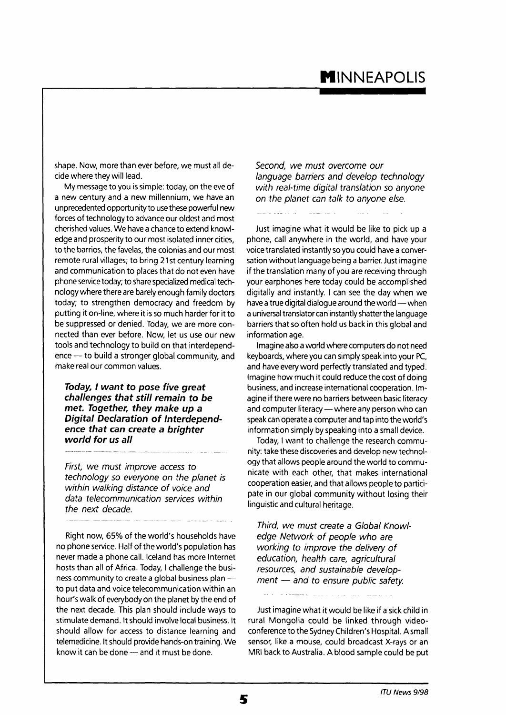## **INNEAPOLIS**

shape. Now, more than ever before, we must all decide where they will lead.

My message to you is simple: today, on the eve of a new century and a new millennium, we have an unprecedented opportunity to use these powerful new forces of technology to advance our oldest and most cherished values. We have a chance to extend knowledge and prosperity to our most isolated inner cities. to the barrios, the favelas, the colonias and our most remote rural villages; to bring 21 st century learning and communication to places that do not even have phone service today; to share specialized medical technology where there are barely enough family doctors today; to strengthen democracy and freedom by putting it on-line, where it is so much harder for it to be suppressed or denied. Today, we are more connected than ever before. Now, let us use our new tools and technology to build on that interdependence — to build a stronger global community, and make real our common values.

**Today, I want to pose five great challenges that still remain to be met. Together, they make up a Digital Declaration of Interdependence that can create a brighter world for us all** 

First, we must improve access to technology so everyone on the planet is within walking distance of voice and data telecommunication services within the next decade.

Right now, 65% of the world's households have no phone service. Half of the world's population has never made a phone call. Iceland has more Internet hosts than all of Africa. Today, I challenge the business community to create a global business plan to put data and voice telecommunication within an hour's walk of everybody on the planet by the end of the next decade. This plan should include ways to stimulate demand. It should involve local business. It should allow for access to distance learning and telemedicine. It should provide hands-on training. We know it can be done — and it must be done.

Second, we must overcome our language barriers and develop technology with real-time digital translation so anyone on the planet can talk to anyone else.

Just imagine what it would be like to pick up a phone, call anywhere in the world, and have your voice translated instantly so you could have a conversation without language being a barrier. Just imagine if the translation many of you are receiving through your earphones here today could be accomplished digitally and instantly. I can see the day when we have a true digital dialogue around the world—when a universal translator can instantly shatter the language barriers that so often hold us back in this global and information age.

Imagine also a world where computers do not need keyboards, where you can simply speak into your PC, and have every word perfectly translated and typed. Imagine how much it could reduce the cost of doing business, and increase international cooperation. Imagine if there were no barriers between basic literacy and computer literacy — where any person who can speak can operate a computer and tap into the world's information simply by speaking into a small device.

Today, I want to challenge the research community: take these discoveries and develop new technology that allows people around the world to communicate with each other, that makes international cooperation easier, and that allows people to participate in our global community without losing their linguistic and cultural heritage.

Third, we must create a Global Knowledge Network of people who are working to improve the delivery of education, health care, agricultural resources, and sustainable development — and to ensure public safety.

a produce a service component

Just imagine what it would be like if a sick child in rural Mongolia could be linked through videoconference to the Sydney Children's Hospital. A small sensor, like a mouse, could broadcast X-rays or an MRI back to Australia. A blood sample could be put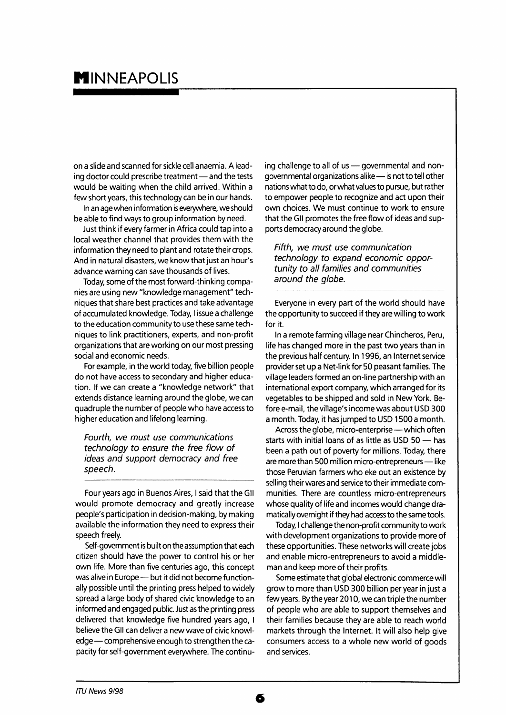## **MINNEAPOLIS**

on a slide and scanned for sickle cell anaemia. A leading doctor could prescribe treatment — and the tests would be waiting when the child arrived. Within a few short years, this technology can be in our hands.

In an age when information is everywhere, we should be able to find ways to group information by need.

Just think if every farmer in Africa could tap into a local weather channel that provides them with the information they need to plant and rotate their crops. And in natural disasters, we know that just an hour's advance warning can save thousands of lives.

Today, some of the most forward-thinking companies are using new "knowledge management" techniques that share best practices and take advantage of accumulated knowledge. Today, I issue a challenge to the education community to use these same techniques to link practitioners, experts, and non-profit organizations that are working on our most pressing social and economic needs.

For example, in the world today, five billion people do not have access to secondary and higher education. If we can create a "knowledge network" that extends distance learning around the globe, we can quadruple the number of people who have access to higher education and lifelong learning.

Fourth, we must use communications technology to ensure the free flow of ideas and support democracy and free speech.

Four years ago in Buenos Aires, I said that the Gil would promote democracy and greatly increase people's participation in decision-making, by making available the information they need to express their speech freely.

Self-government is built on the assumption that each citizen should have the power to control his or her own life. More than five centuries ago, this concept was alive in Europe—but it did not become functionally possible until the printing press helped to widely spread a large body of shared civic knowledge to an informed and engaged public. Just as the printing press delivered that knowledge five hundred years ago, I believe the Gil can deliver a new wave of civic knowledge — comprehensive enough to strengthen the capacity for self-government everywhere. The continuing challenge to all of us — governmental and nongovernmental organizations alike—is not to tell other nations what to do, or what values to pursue, but rather to empower people to recognize and act upon their own choices. We must continue to work to ensure that the Gil promotes the free flow of ideas and supports democracy around the globe.

Fifth, we must use communication technology to expand economic opportunity to all families and communities around the globe.

Everyone in every part of the world should have the opportunity to succeed if they are willing to work for it.

In a remote farming village near Chincheros, Peru, life has changed more in the past two years than in the previous half century. In 1996, an Internet service provider set up a Net-link for 50 peasant families. The village leaders formed an on-line partnership with an international export company, which arranged for its vegetables to be shipped and sold in New York. Before e-mail, the village's income was about USD 300 a month. Today, it has jumped to USD 1500 a month.

Across the globe, micro-enterprise—which often starts with initial loans of as little as USD 50 — has been a path out of poverty for millions. Today, there are more than 500 million micro-entrepreneurs—like those Peruvian farmers who eke out an existence by selling their wares and service to their immediate communities. There are countless micro-entrepreneurs whose quality of life and incomes would change dramatically overnight if they had access to the same tools.

Today, I challenge the non-profit community to work with development organizations to provide more of these opportunities. These networks will create jobs and enable micro-entrepreneurs to avoid a middleman and keep more of their profits.

Some estimate that global electronic commerce will grow to more than USD 300 billion per year in just a few years. By the year 2010, we can triple the number of people who are able to support themselves and their families because they are able to reach world markets through the Internet. It will also help give consumers access to a whole new world of goods and services.